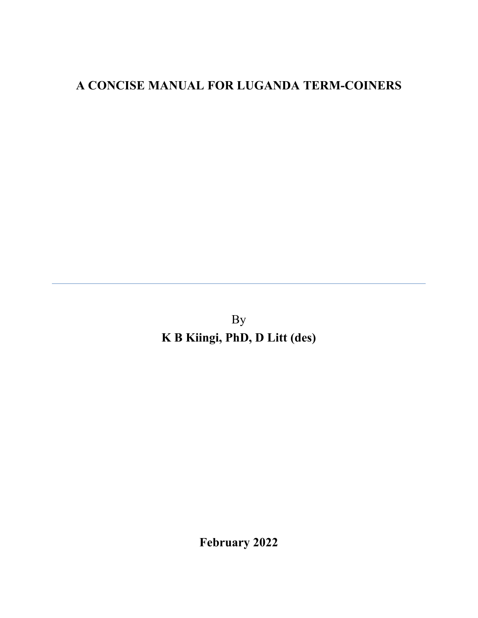# **A CONCISE MANUAL FOR LUGANDA TERM-COINERS**

By **K B Kiingi, PhD, D Litt (des)**

**February 2022**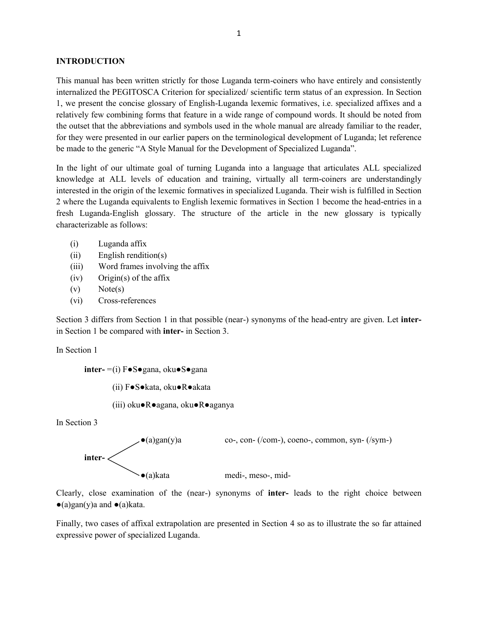#### **INTRODUCTION**

This manual has been written strictly for those Luganda term-coiners who have entirely and consistently internalized the PEGITOSCA Criterion for specialized/ scientific term status of an expression. In Section 1, we present the concise glossary of English-Luganda lexemic formatives, i.e. specialized affixes and a relatively few combining forms that feature in a wide range of compound words. It should be noted from the outset that the abbreviations and symbols used in the whole manual are already familiar to the reader, for they were presented in our earlier papers on the terminological development of Luganda; let reference be made to the generic "A Style Manual for the Development of Specialized Luganda".

In the light of our ultimate goal of turning Luganda into a language that articulates ALL specialized knowledge at ALL levels of education and training, virtually all term-coiners are understandingly interested in the origin of the lexemic formatives in specialized Luganda. Their wish is fulfilled in Section 2 where the Luganda equivalents to English lexemic formatives in Section 1 become the head-entries in a fresh Luganda-English glossary. The structure of the article in the new glossary is typically characterizable as follows:

- (i) Luganda affix
- (ii) English rendition(s)
- (iii) Word frames involving the affix
- (iv) Origin(s) of the affix
- (v) Note(s)
- (vi) Cross-references

Section 3 differs from Section 1 in that possible (near-) synonyms of the head-entry are given. Let **inter**in Section 1 be compared with **inter-** in Section 3.

In Section 1

**inter-** =(i) F**●**S**●**gana, oku**●**S**●**gana

(ii) F**●**S**●**kata, oku**●**R**●**akata

(iii) oku**●**R**●**agana, oku**●**R**●**aganya

In Section 3



Clearly, close examination of the (near-) synonyms of **inter-** leads to the right choice between ●(a)gan(y)a and **●**(a)kata.

Finally, two cases of affixal extrapolation are presented in Section 4 so as to illustrate the so far attained expressive power of specialized Luganda.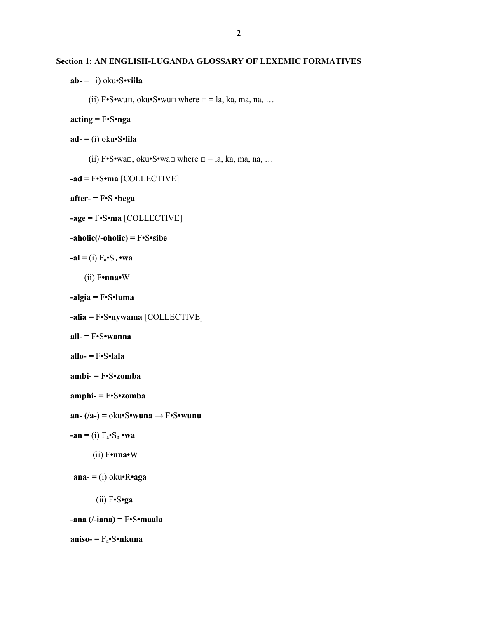#### **Section 1: AN ENGLISH-LUGANDA GLOSSARY OF LEXEMIC FORMATIVES**

**ab-** = i) oku•S•**viila**

(ii) F•S•wu□, oku•S•wu□ where □ = la, ka, ma, na, ...

#### **acting** = F•S•**nga**

**ad- =** (i) oku•S•**lila**

(ii)  $F \cdot S \cdot wa \square$ , oku $S \cdot wa \square$  where  $\square = la$ , ka, ma, na, ...

```
-ad = F•S•ma [COLLECTIVE]
```

```
after- = F•S •bega
```

```
-age = F•S•ma [COLLECTIVE]
```
**-aholic(/-oholic) =** F•S**•sibe**

 $-\mathbf{al} = (i) \mathbf{F}_a \cdot \mathbf{S}_n \cdot \mathbf{wa}$ 

(ii) F**•nna•**W

```
-algia = F•S•luma
```
- **-alia =** F•S**•nywama** [COLLECTIVE]
- **all- =** F•S**•wanna**
- **allo- =** F•S**•lala**
- **ambi- =** F•S**•zomba**
- **amphi- =** F•S**•zomba**
- **an- (/a-) =** oku•S**•wuna** → F•S**•wunu**
- $-\mathbf{a}\mathbf{n} =$  (i)  $F_a \cdot S_n \cdot \mathbf{w}\mathbf{a}$ 
	- (ii) F**•nna•**W
- **ana- =** (i) oku•R**•aga**
	- (ii) F•S**•ga**

**-ana (/-iana) =** F•S**•maala**

**aniso- =** Fa•S**•nkuna**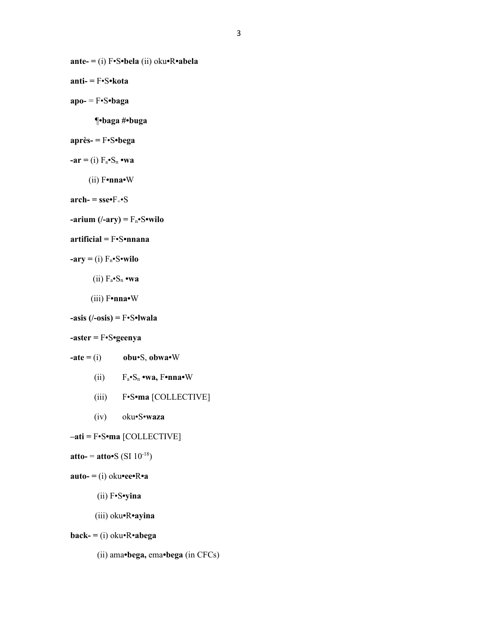**ante- =** (i) F•S**•bela** (ii) oku**•**R**•abela**

**anti- =** F•S**•kota**

**apo-** = F•S**•baga**

¶**•baga #•buga**

## **après- =** F•S**•bega**

- $-ar = (i) F_a \cdot S_n \cdot wa$ 
	- (ii) F**•nna•**W

 $\text{arch-} = \text{sse-F+} \cdot S$ 

 $\tanan((-ary) = F_n \cdot S \cdot \text{wide}$ 

#### **artificial =** F•S**•nnana**

```
-ary = (i) F_n \cdot S \cdot wild
```
- $(iii)$   $F_a \cdot S_n \cdot wa$
- (iii) F**•nna•**W

```
-asis (/-osis) = F•S•lwala
```

```
-aster = F•S•geenya
```
- $\text{-} \textbf{ate} = (i) \qquad \textbf{obu} \cdot S, \textbf{obwa} \cdot W$ 
	- (ii)  $F_a \cdot S_n \cdot wa$ ,  $F \cdot nna \cdot W$
	- (iii) F•S**•ma** [COLLECTIVE]
	- (iv) oku•S•**waza**

```
–ati = F•S•ma [COLLECTIVE]
```

```
atto- = atto•S (SI 10^{-18})
```

```
\mathbf{auto} = \text{(i)} \space \text{oku} \cdot \text{ee} \cdot \text{Re} \cdot \text{a}
```
- (ii) F•S**•yina**
- (iii) oku**•**R**•ayina**

```
back- = (i) oku•R•abega
```
(ii) ama**•bega,** ema**•bega** (in CFCs)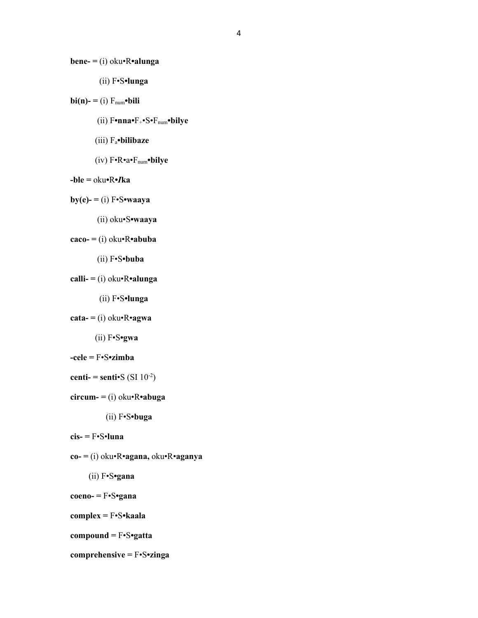**bene- =** (i) oku•R**•alunga**

(ii) F•S**•lunga**

```
\mathbf{bi(n)} = (i) F_{num} \cdot \mathbf{bili}
```
- (ii) F**•nna•**F+•S•Fnum**•bilye**
- (iii) Fa**•bilibaze**
- (iv) F•R•a•Fnum**•bilye**
- **-ble =** oku**•**R**•***I***ka**

```
by(e) = (i) F\cdot S\cdot waaya
```
(ii) oku•S**•waaya**

```
caco- = (i) oku•R•abuba
```

```
 (ii) F•S•buba
```

```
calli- = (i) oku•R•alunga
```
(ii) F•S**•lunga**

```
\text{cata} = (i) \text{ oku} \cdot \text{R} \cdot \text{agwa}
```
(ii) F•S**•gwa**

```
-cele = F•S•zimba
```

```
centi- = senti•S (SI 10<sup>-2</sup>)
```

```
circum = (i) oku<sup>•</sup>R•abuga
```
(ii) F•S**•buga**

```
cis- = F•S•luna
```
**co- =** (i) oku•R•**agana,** oku•R•**aganya**

```
(ii) F•S•gana
```

```
coeno- = F•S•gana
```
**complex =** F•S**•kaala**

```
compound = F•S•gatta
```

```
comprehensive = F•S•zinga
```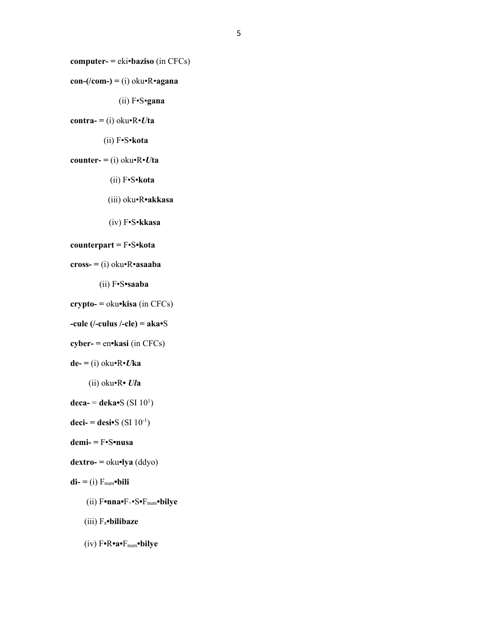**computer- =** eki•**baziso** (in CFCs)

```
con-(/com-) = (i) oku•R•agana
```

```
 (ii) F•S•gana
```

```
\text{contra-} = (i) \space \text{oku-} \mathbf{R} \cdot U \text{ta}
```

```
 (ii) F•S•kota
```

```
counter- = (i) oku\cdotR\cdot<i>Uta
```

```
 (ii) F•S•kota
```
(iii) oku•R**•akkasa**

```
 (iv) F•S•kkasa
```

```
counterpart = F•S•kota
```

```
cross- = (i) oku•R•asaaba
```
(ii) F•S**•saaba**

```
crypto- = oku•kisa (in CFCs)
```

```
-cule (/-culus /-cle) = aka•S
```

```
cyber- = en•kasi (in CFCs)
```

```
de- = (i) oku•R•Uka
```
(ii) oku•R**•** *Ul***a**

```
deca- = deka•S (SI 10<sup>1</sup>)
```

```
deci- = desi•S (SI 10<sup>-1</sup>)
```
**demi- =** F•S**•nusa**

```
dextro- = oku•lya (ddyo)
```
 $di = (i) F_{num}$ •bili

- (ii) F**•nna•**F+•S**•**Fnum**•bilye**
- (iii) Fa**•bilibaze**

(iv) F**•**R**•a•**Fnum**•bilye**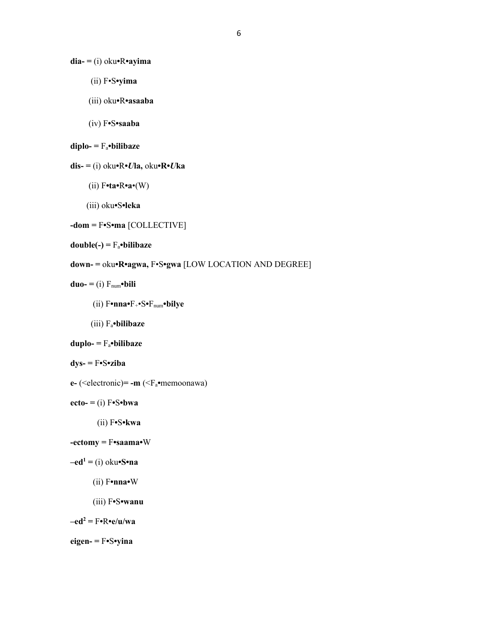**dia- =** (i) oku**•**R**•ayima** 

- (ii) F•S**•yima**
- (iii) oku**•**R**•asaaba**
- (iv) F**•**S**•saaba**

```
diplo- = Fa•bilibaze
```

```
dis- = (i) oku•R•Ula, oku•R•Uka
```
- (ii) F**•ta•**R**•a**•(W)
- (iii) oku**•**S**•leka**

```
-dom = F•S•ma [COLLECTIVE]
```
**double(-) =** Fa**•bilibaze**

- **down- =** oku**•R•agwa,** F•S**•gwa** [LOW LOCATION AND DEGREE]
- $duo = (i) F_{num} \cdot bili$ 
	- (ii) F**•nna•**F+•S**•**Fnum**•bilye**
	- (iii) Fa**•bilibaze**

```
duplo- = Fa•bilibaze
```

```
dys- = F•S•ziba
```
- **e-** (<electronic)**= -m** (<Fa**•**memoonawa)
- $ecto = (i) F \cdot S \cdot bwa$ 
	- (ii) F**•**S**•kwa**
- **-ectomy =** F**•saama•**W
- $-\text{ed}^1 =$  (i) oku $\text{-}$ **S**•**na** 
	- (ii) F**•nna•**W
	- (iii) F**•**S**•wanu**

 $-\text{ed}^2 = \text{F} \cdot \text{R} \cdot \text{e} / \text{u} / \text{wa}$ 

```
eigen- = F•S•yina
```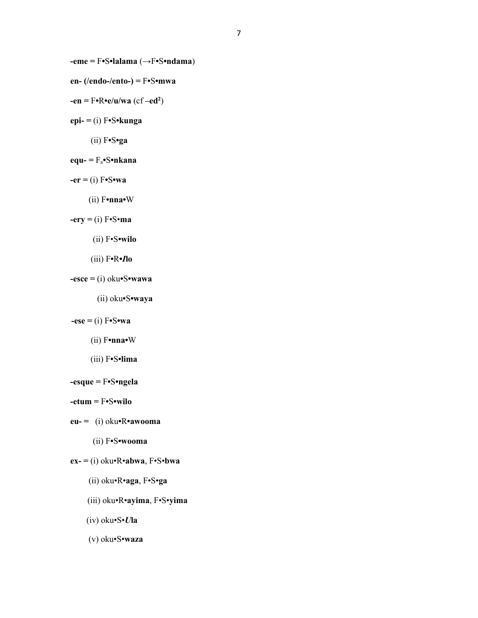**-eme =** F**•**S**•lalama** (→F**•**S**•ndama**)

- **en- (/endo-/ento-) =** F**•**S**•mwa**
- **-en =** F**•**R**•e/u/wa** (cf **–ed<sup>2</sup>** )
- **epi- =** (i) F**•**S**•kunga**
	- (ii) F**•**S**•ga**
- **equ- =** Fa**•**S**•nkana**
- **-er =** (i) F**•**S**•wa** 
	- (ii) F**•nna•**W

**-ery =** (i) F•S•**ma** 

- (ii) F•S**•wilo**
- (iii) F**•**R**•***I***lo**
- **-esce =** (i) oku**•**S**•wawa**
	- (ii) oku**•**S**•waya**
- $-$ **ese** = (i)  $F \cdot S \cdot wa$ 
	- (ii) F**•nna•**W
	- (iii) F**•**S**•lima**
- **-esque =** F**•**S**•ngela**
- **-etum =** F**•**S**•wilo**
- **eu- =** (i) oku**•**R**•awooma** 
	- (ii) F**•**S**•wooma**
- **ex- =** (i) oku•R•**abwa**, F•S•**bwa**
	- (ii) oku•R•**aga**, F•S•**ga**
	- (iii) oku•R•**ayima**, F•S•**yima**
	- (iv) oku•S•*U***la**
	- (v) oku•S•**waza**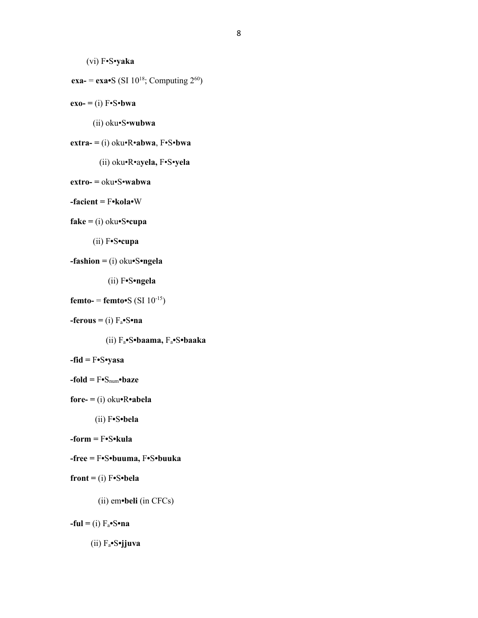```
(vi) F•S•yaka
```

```
exa- = exa•S (SI 10^{18}; Computing 2^{60})
```
 $exo = (i) F\cdot S\cdot bwa$ 

(ii) oku•S•**wubwa**

```
extra- = (i) oku•R•abwa, F•S•bwa
```
(ii) oku•R•a**yela,** F•S•**yela**

```
extro- = oku•S•wabwa
```

```
-facient = F•kola•W
```

```
fake = (i) oku•S•cupa
```

```
 (ii) F•S•cupa
```

```
-fashion = (i) oku•S•ngela
```

```
 (ii) F•S•ngela
```

```
femto- = femto•S (SI 10^{-15})
```

```
-ferous = (i) F_a\cdotS\cdotna
```
(ii) Fa**•**S**•baama,** Fa**•**S**•baaka**

```
-fid = F•S•yasa
```

```
-fold = F•Snum•baze
```
(ii) F**•**S**•bela**

**-form =** F**•**S**•kula**

```
-free = F•S•buuma, F•S•buuka
```

```
front = (i) F•S•bela
```

```
 (ii) em•beli (in CFCs)
```
 $-$ **ful** = (i)  $F_a$ •**S•na** 

```
 (ii) Fa•S•jjuva
```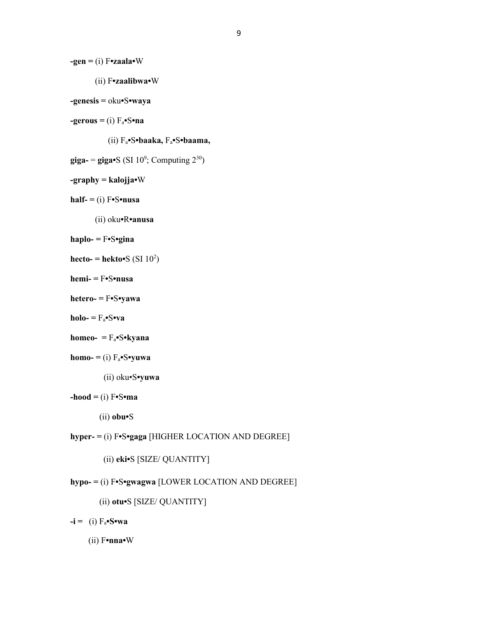```
-gen = (i) F•zaala•W
```
(ii) F**•zaalibwa•**W

```
-genesis = oku•S•waya
```
 $-$ **gerous** = (i)  $F_a$  $\cdot$ S $\cdot$ **na** 

(ii) Fa**•**S**•baaka,** Fa**•**S**•baama,**

 $\mathbf{giga} = \mathbf{giga} \cdot \mathbf{S}$  (SI 10<sup>9</sup>; Computing  $2^{30}$ )

## **-graphy = kalojja•**W

```
half- = (i) F \cdot S \cdot nusa
```
(ii) oku**•**R**•anusa**

```
haplo- = F•S•gina
```

```
\text{hecto-} = \text{hekto-S} (\text{SI } 10^2)
```
- **hemi- =** F**•**S**•nusa**
- **hetero- =** F**•**S**•yawa**
- **holo-** =  $F_a \cdot S \cdot v \cdot a$
- **homeo- =** Fa**•**S**•kyana**

```
homo- = (i) F_a \cdot S \cdot yuwa
```
(ii) oku•S**•yuwa**

```
-hood = (i) \mathbf{F} \cdot \mathbf{S} \cdot \mathbf{m}a
```

```
 (ii) obu•S
```

```
hyper- = (i) F•S•gaga [HIGHER LOCATION AND DEGREE]
```

```
 (ii) eki•S [SIZE/ QUANTITY]
```
# **hypo- =** (i) F**•**S**•gwagwa** [LOWER LOCATION AND DEGREE]

```
 (ii) otu•S [SIZE/ QUANTITY]
```
 $-i = (i) F_a \cdot S \cdot wa$ 

(ii) F**•nna•**W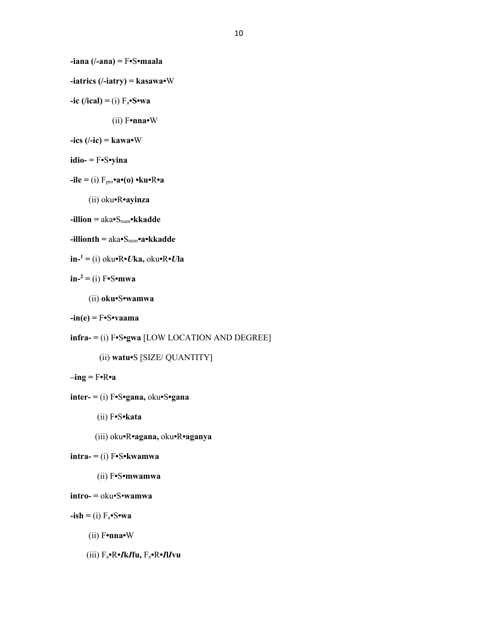**-iana (/-ana) =** F**•**S**•maala**

**-iatrics (/-iatry) = kasawa•**W

- $-ic$  (/ical) = (i)  $F_a \cdot S \cdot wa$ 
	- (ii) F**•nna•**W

```
-ics (/-ic) = kawa•W
```
- **idio- =** F**•**S**•yina**
- **-ile =** (i) Fpro**•a•(o) •ku•**R**•a**
	- (ii) oku**•**R**•ayinza**
- **-illion =** aka**•**Snum**•kkadde**
- **-illionth =** aka**•**Snum**•a•kkadde**
- **in-<sup>1</sup> =** (i) oku**•**R**•***U***ka,** oku**•**R**•***U***la**
- **in-<sup>2</sup> =** (i) F**•**S**•mwa**
	- (ii) **oku•**S**•wamwa**
- **-in(e) =** F**•**S**•vaama**
- **infra- =** (i) F**•**S**•gwa** [LOW LOCATION AND DEGREE]
	- (ii) **watu•**S [SIZE/ QUANTITY]
- **–ing =** F**•**R**•a**
- **inter- =** (i) F**•**S**•gana,** oku**•**S**•gana**
	- (ii) F**•**S**•kata**
	- (iii) oku**•**R**•agana,** oku**•**R**•aganya**

```
intra- = (i) F•S•kwamwa
```
(ii) F**•**S**•mwamwa**

```
intro- = oku•S•wamwa
```
 $-ish = (i) F_a \cdot S \cdot wa$ 

- (ii) F**•nna•**W
- (iii) Fa**•**R**•***I***k***I***fu,** Fa**•**R**•***I***l***I***vu**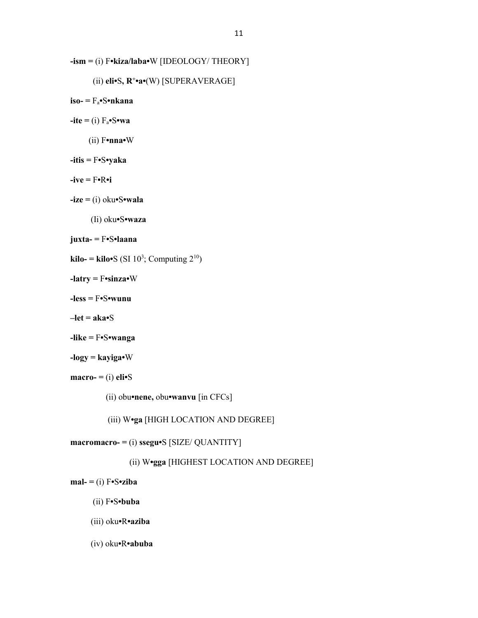```
-ism = (i) F•kiza/laba•W [IDEOLOGY/ THEORY]
```

```
 (ii) eli•S, R+
•a•(W) [SUPERAVERAGE]
```
**iso- =** Fa**•**S**•nkana**

 $-$ **ite**  $=$  (i)  $F_a \cdot S \cdot wa$ 

(ii) F**•nna•**W

**-itis =** F**•**S**•yaka**

 $-i$ **ve** =  $F \cdot R \cdot i$ 

**-ize =** (i) oku**•**S**•wala** 

(Ii) oku**•**S**•waza**

**juxta- =** F**•**S**•laana**

 $\textbf{kilo} = \textbf{kilo} \cdot \textbf{S} \text{ (SI 10}^3; \text{Computing } 2^{10})$ 

**-latry =** F**•sinza•**W

**-less =** F**•**S**•wunu**

**–let = aka•**S

**-like =** F**•**S**•wanga**

```
-logy = kayiga•W
```

```
macro- = (i) eli\bulletS
```
(ii) obu**•nene,** obu**•wanvu** [in CFCs]

(iii) W**•ga** [HIGH LOCATION AND DEGREE]

**macromacro- =** (i) **ssegu•**S [SIZE/ QUANTITY]

(ii) W**•gga** [HIGHEST LOCATION AND DEGREE]

 $m$ al- $=$ (i)  $F \cdot S \cdot ziba$ 

(ii) F**•**S**•buba**

(iii) oku**•**R**•aziba**

(iv) oku**•**R**•abuba**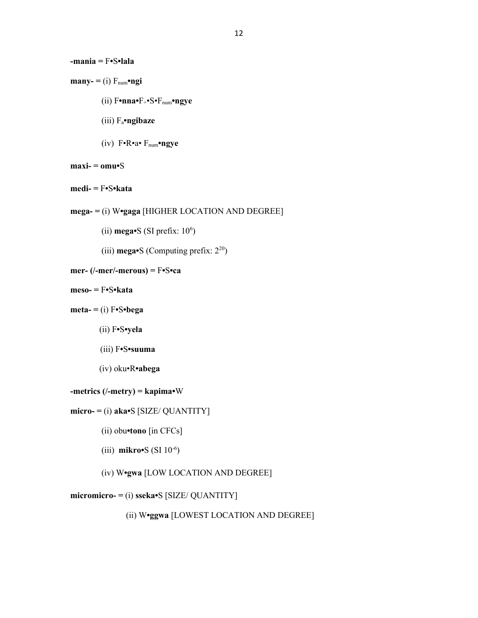```
-mania = F•S•lala
```
- (ii) F**•nna•**F+•S•Fnum**•ngye**
- (iii) Fa**•ngibaze**
- (iv) F•R•a• Fnum**•ngye**
- $maxi = omu-S$
- **medi- =** F**•**S**•kata**
- **mega- =** (i) W**•gaga** [HIGHER LOCATION AND DEGREE]
	- $\text{(ii) mega-S (SI prefix: } 10^6)$ 
		- (iii) **mega•**S (Computing prefix: 2<sup>20</sup>)

```
mer- (/-mer/-merous) = F•S•ca
```
- **meso- =** F**•**S**•kata**
- $\text{meta} = (i) \text{ } F \cdot S \cdot \text{bega}$ 
	- (ii) F**•**S**•yela**
	- (iii) F**•**S**•suuma**
	- (iv) oku•R**•abega**

```
-metrics (/-metry) = kapima•W
```

```
micro = (i) aka \cdot S [SIZE / QUANTITY]
```
- (ii) obu**•tono** [in CFCs]
- (iii) **mikro•**S (SI 10-6 )
	- (iv) W**•gwa** [LOW LOCATION AND DEGREE]

# **micromicro- =** (i) **sseka•**S [SIZE/ QUANTITY]

(ii) W**•ggwa** [LOWEST LOCATION AND DEGREE]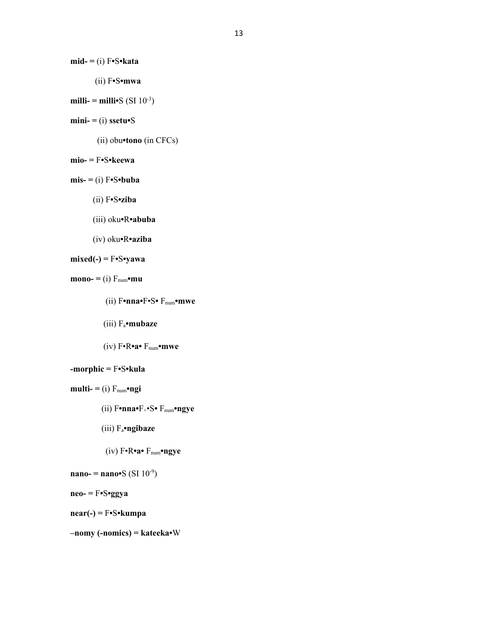$mid = (i) F \cdot S \cdot kata$ 

- (ii) F**•**S**•mwa**
- $\text{milli-} = \text{milli-}S \text{ (SI } 10^{-3})$
- $mini = (i)$  **ssetu•**S
	- (ii) obu**•tono** (in CFCs)
- **mio- =** F**•**S**•keewa**
- $m$ **is-**  $=$  (i)  $F \cdot S \cdot b$ **u** $ba$ 
	- (ii) F**•**S**•ziba**
	- (iii) oku**•**R**•abuba**
	- (iv) oku**•**R**•aziba**

```
mixed(-) = F•S•yawa
```

```
\mathbf{mono} = (i) \ F_{\text{num}} \cdot \mathbf{mu}
```
- (ii) F**•nna•**F•S**•** Fnum**•mwe**
- (iii) Fa**•mubaze**
- (iv) F•R**•a•** Fnum**•mwe**

```
-morphic = F•S•kula
```
- $\text{multi} = \text{(i)} \ F_{\text{num}} \cdot \text{ngi}$ 
	- (ii) F**•nna•**F+•S**•** Fnum**•ngye**
	- (iii) Fa**•ngibaze**
	- (iv) F•R**•a•** Fnum**•ngye**
- **nano-** = **nano•**S (SI  $10^{-9}$ )
- **neo- =** F**•**S**•ggya**

**near(-) =** F**•**S**•kumpa**

**–nomy (-nomics) = kateeka•**W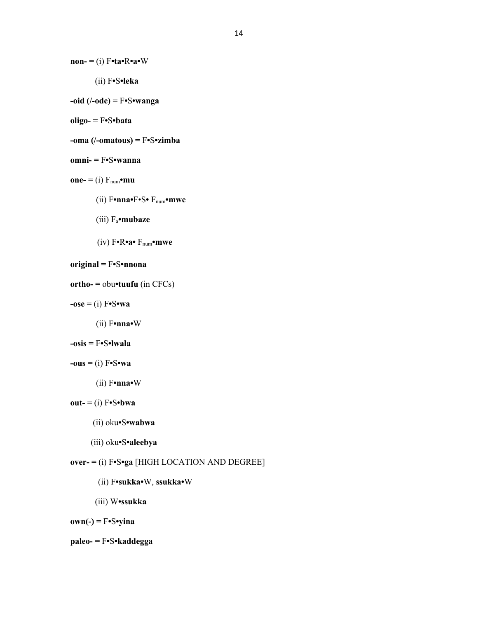**non- =** (i) F**•ta•**R**•a•**W

(ii) F**•**S**•leka**

```
-oid (/-ode) = F•S•wanga
```
**oligo- =** F**•**S**•bata**

**-oma (/-omatous) =** F**•**S**•zimba**

```
omni- = F•S•wanna
```

```
one = (i) F_{num} \cdot mu
```
- (ii) F**•nna•**F•S**•** Fnum**•mwe**
- (iii) Fa**•mubaze**
- (iv) F•R**•a•** Fnum**•mwe**

```
original = F•S•nnona
```

```
ortho- = obu•tuufu (in CFCs)
```
 $-$ **ose** = (i)  $F \cdot S \cdot wa$ 

(ii) F**•nna•**W

```
-osis = F•S•lwala
```

```
-\textbf{ous} = (i) \textbf{F} \cdot \textbf{S} \cdot \textbf{wa}
```

```
 (ii) F•nna•W
```

```
out = (i) F \cdot S \cdot bwa
```

```
 (ii) oku•S•wabwa
```

```
 (iii) oku•S•aleebya
```
# **over- =** (i) F**•**S**•ga** [HIGH LOCATION AND DEGREE]

```
 (ii) F•sukka•W, ssukka•W
```
(iii) W**•ssukka**

**own(-) =** F**•**S**•yina** 

```
paleo- = F•S•kaddegga
```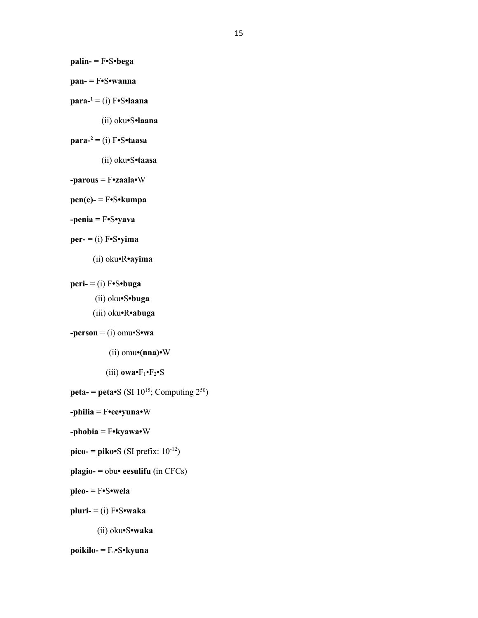**palin- =** F**•**S**•bega**

- **pan- =** F**•**S**•wanna**
- **para-<sup>1</sup> =** (i) F**•**S**•laana** 
	- (ii) oku**•**S**•laana**

## **para-<sup>2</sup> =** (i) F**•**S**•taasa**

- (ii) oku**•**S**•taasa**
- **-parous =** F**•zaala•**W
- **pen(e)- =** F**•**S**•kumpa**
- **-penia =** F**•**S**•yava**
- $per = (i)$  **F•**S• $y$ **ima** 
	- (ii) oku**•**R**•ayima**
- $peri = (i) F \cdot S \cdot buga$ 
	- (ii) oku**•**S**•buga**
	- (iii) oku**•**R**•abuga**

```
-person = (i) omu•S•wa
```
- $(i)$  omu $\cdot$ (**nna**) $\cdot$ W
- $(iii)$  **owa•** $F_1$ • $F_2$ • $S$
- **peta-** = **peta•**S (SI  $10^{15}$ ; Computing  $2^{50}$ )
- **-philia =** F**•ee•yuna•**W
- **-phobia =** F**•kyawa•**W
- $\mathbf{p}$ **ico-** =  $\mathbf{p}$ **iko•**S (SI prefix:  $10^{-12}$ )
- **plagio- =** obu**• eesulifu** (in CFCs)
- **pleo- =** F**•**S**•wela**
- **pluri- =** (i) F**•**S**•waka**
	- (ii) oku**•**S**•waka**

```
poikilo- = Fa•S•kyuna
```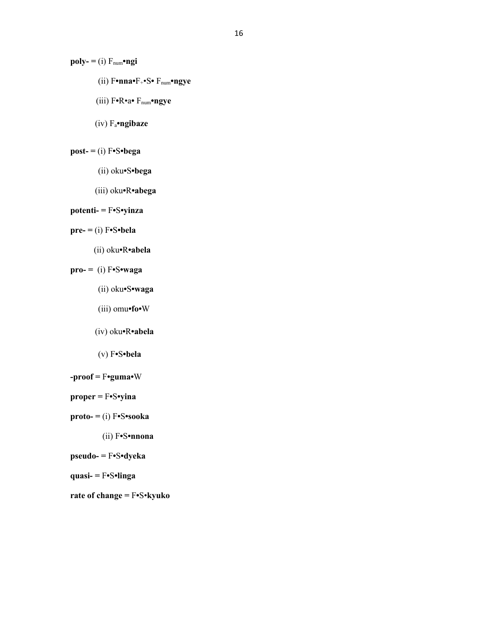$poly = (i) F_{num} \cdot ngi$ 

- (ii) F**•nna•**F+•S**•** Fnum**•ngye**
- (iii) F**•**R•a**•** Fnum**•ngye**
- (iv) Fa**•ngibaze**

# $\text{post} = (i) \text{F-S} \cdot \text{bega}$

- (ii) oku**•**S**•bega**
- (iii) oku**•**R**•abega**

# **potenti- =** F**•**S**•yinza**

# **pre- =** (i) F**•**S**•bela**

(ii) oku**•**R**•abela**

# **pro- =** (i) F**•**S**•waga**

- (ii) oku**•**S**•waga**
- (iii) omu**•fo•**W
- (iv) oku**•**R**•abela**
- (v) F**•**S**•bela**
- **-proof =** F**•guma•**W
- **proper =** F**•**S**•yina**
- **proto- =** (i) F**•**S**•sooka** 
	- (ii) F**•**S**•nnona**
- **pseudo- =** F**•**S**•dyeka**
- **quasi- =** F**•**S**•linga**
- **rate of change =** F**•**S•**kyuko**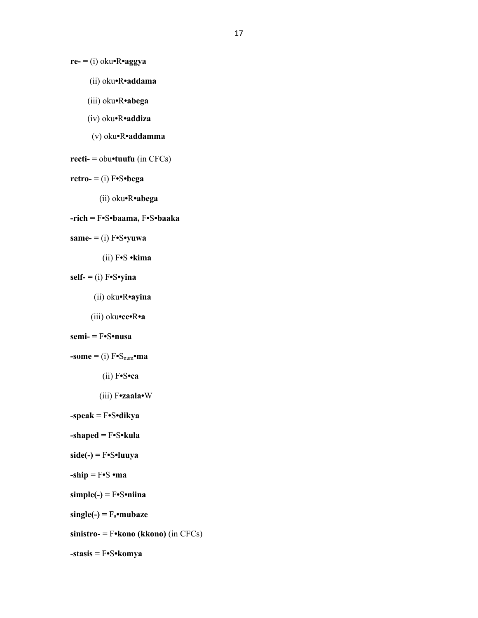**re- =** (i) oku**•**R**•aggya**

- (ii) oku**•**R**•addama**
- (iii) oku**•**R**•abega**
- (iv) oku**•**R**•addiza**
- (v) oku**•**R**•addamma**

```
recti- = obu•tuufu (in CFCs)
```
- $\text{retr} \cdot \text{o} = (i) \text{F} \cdot \text{S} \cdot \text{be}$ 
	- (ii) oku**•**R**•abega**
- **-rich =** F**•**S**•baama,** F**•**S**•baaka**
- $same = (i) F \cdot S \cdot y$ **wa** 
	- (ii) F**•**S **•kima**
- **self- =** (i) F**•**S**•yina** 
	- (ii) oku**•**R**•ayina**
	- (iii) oku**•ee•**R**•a**
- **semi- =** F**•**S**•nusa**

```
\text{-some} = (i) \text{ } F \cdot \text{S}_{num} \cdot \text{ma}
```
- (ii) F**•**S**•ca**
- (iii) F**•zaala•**W
- **-speak =** F**•**S**•dikya**
- **-shaped =** F**•**S**•kula**
- **side(-) =** F**•**S**•luuya**
- **-ship =** F**•**S **•ma**
- **simple(-) =** F**•**S**•niina**
- $single(-) = F_a$ **•mubaze**
- **sinistro- =** F**•kono (kkono)** (in CFCs)
- **-stasis =** F**•**S**•komya**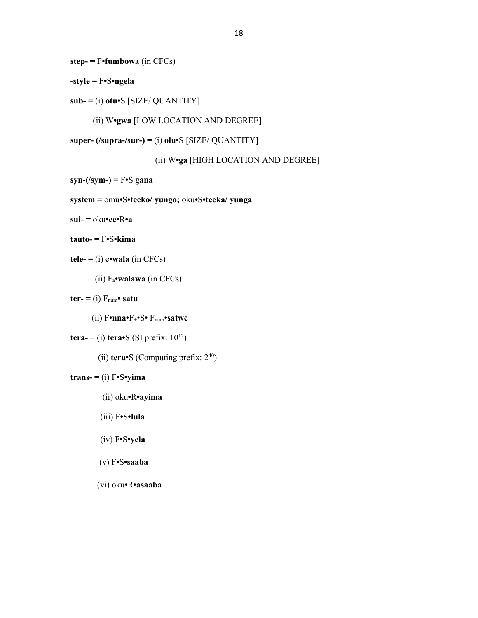**step- =** F**•fumbowa** (in CFCs)

**-style =** F**•**S**•ngela**

```
sub- = (i) otu•S [SIZE/ QUANTITY]
```
(ii) W**•gwa** [LOW LOCATION AND DEGREE]

**super- (/supra-/sur-) =** (i) **olu•**S [SIZE/ QUANTITY]

(ii) W**•ga** [HIGH LOCATION AND DEGREE]

**syn-(/sym-) =** F**•**S **gana**

**system =** omu**•**S**•teeko/ yungo;** oku**•**S**•teeka/ yunga**

**sui- =** oku**•ee•**R**•a**

```
tauto- = F•S•kima
```

```
tele = (i) e•wala (in CFCs)
```
(ii) Fa**•walawa** (in CFCs)

 $\mathbf{ter} = (i) F_{num} \cdot \mathbf{satu}$ 

(ii) F**•nna•**F+•S**•** Fnum**•satwe**

```
tera- = (i) tera•S (SI prefix: 10^{12})
```
(ii) **tera•**S (Computing prefix: 2<sup>40</sup>)

# $trans = (i) F\cdot S\cdot yima$

- (ii) oku**•**R**•ayima**
- (iii) F**•**S**•lula**
- (iv) F**•**S**•yela**

## (v) F**•**S**•saaba**

(vi) oku**•**R**•asaaba**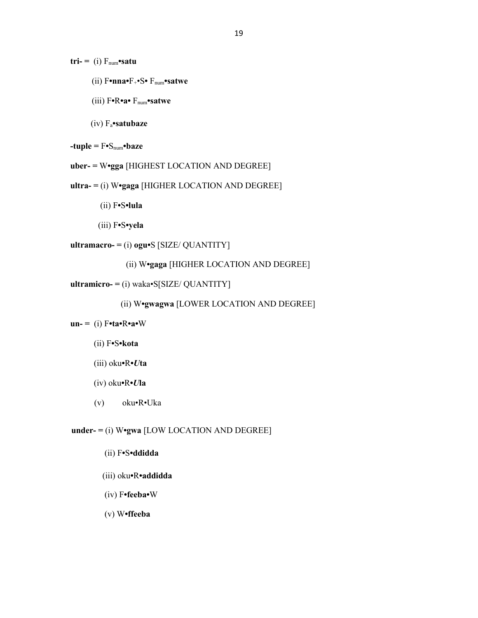$tri- = (i) F_{num}$ •satu

- (ii) F**•nna•**F+•S**•** Fnum**•satwe**
- (iii) F**•**R**•a•** Fnum**•satwe**
- (iv) Fa**•satubaze**

```
-tuple = F \cdot S_{num} \cdot baze
```
**uber- =** W**•gga** [HIGHEST LOCATION AND DEGREE]

**ultra- =** (i) W**•gaga** [HIGHER LOCATION AND DEGREE]

(ii) F**•**S**•lula**

```
 (iii) F•S•yela
```
**ultramacro- =** (i) **ogu•**S [SIZE/ QUANTITY]

```
 (ii) W•gaga [HIGHER LOCATION AND DEGREE]
```

```
ultramicro- = (i) waka•S[SIZE/ QUANTITY]
```

```
 (ii) W•gwagwa [LOWER LOCATION AND DEGREE]
```

```
un- = (i) F•ta•R•a•W
```
- (ii) F**•**S**•kota**
- (iii) oku**•**R**•***U***ta**
- (iv) oku**•**R**•***U***la**
- (v) oku•R•Uka

**under- =** (i) W**•gwa** [LOW LOCATION AND DEGREE]

```
 (ii) F•S•ddidda
```
- (iii) oku**•**R**•addidda**
- (iv) F**•feeba•**W
- (v) W**•ffeeba**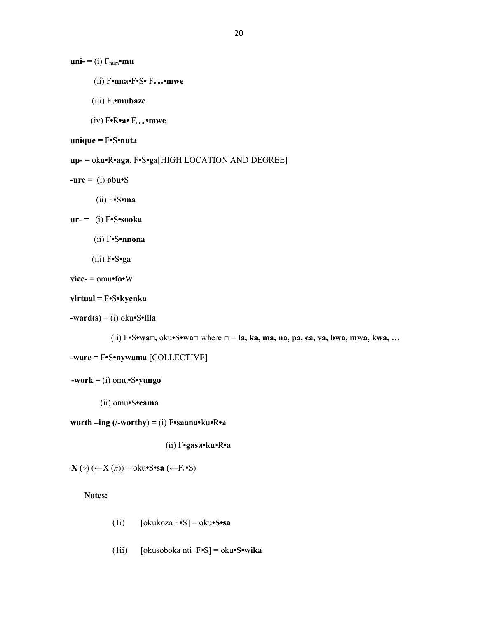$\mathbf{uni} = (i) \ F_{num} \cdot \mathbf{mu}$ 

- (ii) F**•nna•**F•S**•** Fnum**•mwe**
- (iii) Fa**•mubaze**
- (iv) F**•**R**•a•** Fnum**•mwe**

```
unique = F•S•nuta
```
**up- =** oku**•**R**•aga,** F**•**S**•ga**[HIGH LOCATION AND DEGREE]

- $-ure = (i) obu S$ 
	- (ii) F**•**S**•ma**

**ur- =** (i) F**•**S**•sooka** 

- (ii) F**•**S**•nnona**
- (iii) F**•**S**•ga**

```
vice- = omu•fo•W
```

```
virtual = F•S•kyenka
```
**-ward(s)** = (i) oku**•**S**•lila**

(ii) F•S**•wa□,** oku**•**S**•wa□** where □ = **la, ka, ma, na, pa, ca, va, bwa, mwa, kwa, …**

```
-ware = F•S•nywama [COLLECTIVE]
```

```
 -work = (i) omu•S•yungo
```
(ii) omu**•**S**•cama**

**worth –ing (/-worthy) =** (i) F**•saana•ku•**R**•a**

(ii) F**•gasa•ku•**R**•a** 

 **X** (*v*) (←X (*n*)) = oku**•**S**•sa** (←Fn**•**S)

**Notes:**

- (1i) [okukoza F**•**S] = oku**•S•sa**
- (1ii) [okusoboka nti F**•**S] = oku**•S•wika**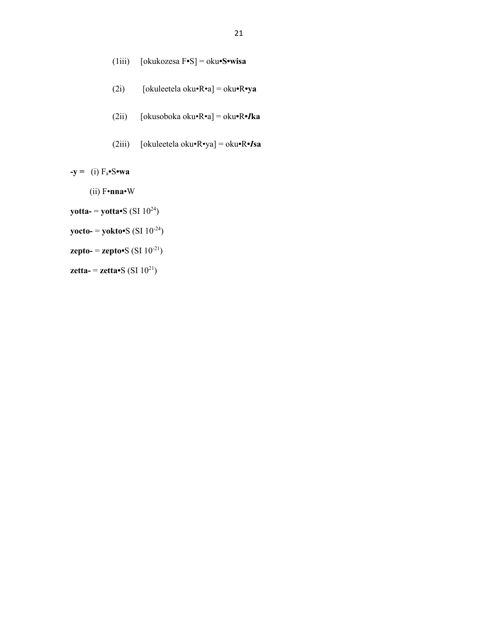(1iii) [okukozesa F**•**S] = oku**•S•wisa**

- (2i) [okuleetela oku•R•a] = oku**•**R**•ya**
- (2ii) [okusoboka oku•R•a] = oku**•**R**•***I***ka**
- (2iii) [okuleetela oku•R•ya] = oku**•**R**•***I***sa**

 $-y = (i) F_a \cdot S \cdot wa$ 

- (ii) F•**nna**•W
- **yotta-** = **yotta•**S (SI 10<sup>24</sup>)
- **yocto-** = **yokto•**S (SI 10-24)
- **zepto-** = **zepto•**S (SI  $10^{-21}$ )

**zetta-** = **zetta•**S (SI 10<sup>21</sup> )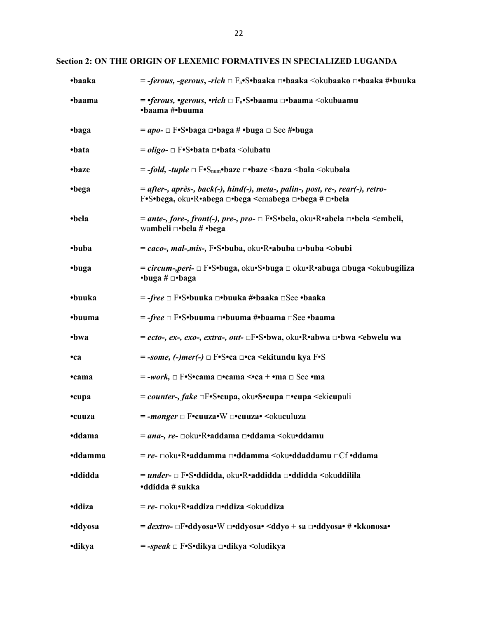**Section 2: ON THE ORIGIN OF LEXEMIC FORMATIVES IN SPECIALIZED LUGANDA**

| •baaka         | = -ferous, -gerous, -rich □ F <sub>a</sub> •S•baaka □•baaka <okubaako #•buuka<="" th="" □•baaka=""></okubaako>                                                    |  |
|----------------|-------------------------------------------------------------------------------------------------------------------------------------------------------------------|--|
| •baama         | = • <i>ferous, •gerous, •rich</i> □ F <sub>a</sub> •S•baama □•baama <okubaamu<br>•baama #•buuma</okubaamu<br>                                                     |  |
| •baga          | $= apo - \Box F\cdot S\cdot baga \Box \cdot baga \# \cdot buga \Box \text{See } #\cdot buga$                                                                      |  |
| •bata          | $= oligo$ - $\Box$ F•S•bata $\Box$ •bata $\triangle$ olubatu                                                                                                      |  |
| •baze          | $=$ -fold, -tuple $\Box$ F•S <sub>num</sub> •baze $\Box$ •baze <baza <br=""></baza> shala <okubala< td=""></okubala<>                                             |  |
| •bega          | = after-, après-, back(-), hind(-), meta-, palin-, post, re-, rear(-), retro-<br>F•S•bega, oku•R•abega □•bega <emabega #="" td="" □•bega="" □•bela<=""></emabega> |  |
| •bela          | = ante-, fore-, front(-), pre-, pro- □ F•S•bela, oku•R•abela □•bela <embeli,<br>wambeli □•bela # •bega</embeli,<br>                                               |  |
| •buba          | = caco-, mal-,mis-, F•S•buba, oku•R•abuba □•buba <obubi< td=""></obubi<>                                                                                          |  |
| •buga          | = circum-, peri- □ F•S•buga, oku•S•buga □ oku•R•abuga □buga <okubugiliza<br><math>\cdot</math>buga # <math>\Box</math><math>\cdot</math>baga</okubugiliza<br>     |  |
| •buuka         | = -free □ F•S•buuka □•buuka #•baaka □See •baaka                                                                                                                   |  |
| •buuma         | = -free □ F•S•buuma □•buuma #•baama □See •baama                                                                                                                   |  |
| •bwa           | = ecto-, ex-, exo-, extra-, out- $\Box F\bullet S\bullet bwa$ , oku $\bullet R\bullet abwa \Box\bullet bwa \leq bwe$ lu wa                                        |  |
| •ca            | $=$ -some, (-)mer(-) $\Box$ F•S•ca $\Box$ •ca <ekitundu f•s<="" kya="" td=""></ekitundu>                                                                          |  |
| •cama          | $=$ -work, $\Box$ F•S•cama $\Box$ •cama $\le$ •ca + •ma $\Box$ See •ma                                                                                            |  |
| •cupa          | = counter-, fake □F•S•cupa, oku•S•cupa □•cupa <ekicupuli< td=""></ekicupuli<>                                                                                     |  |
| •cuuza         | $=$ -monger $\Box$ F•cuuza•W $\Box$ •cuuza• <okuculuza< td=""></okuculuza<>                                                                                       |  |
| <b>•ddama</b>  | = ana-, re- □oku•R•addama □•ddama <oku•ddamu< td=""></oku•ddamu<>                                                                                                 |  |
| <b>•ddamma</b> | = re- □oku•R•addamma □•ddamma <oku•ddaddamu td="" •ddama<="" □cf=""></oku•ddaddamu>                                                                               |  |
| <b>•ddidda</b> | = under- □ F•S•ddidda, oku•R•addidda □•ddidda <okuddilila<br>•ddidda # sukka</okuddilila<br>                                                                      |  |
| <b>•ddiza</b>  | = re- □oku•R•addiza □•ddiza <okuddiza< td=""></okuddiza<>                                                                                                         |  |
| <b>•ddyosa</b> | = dextro- □F•ddyosa•W □•ddyosa• <ddyo #="" +="" sa="" td="" •kkonosa•<="" □•ddyosa•=""></ddyo>                                                                    |  |
| •dikya         | = -speak □ F•S•dikya □•dikya <oludikya< td=""></oludikya<>                                                                                                        |  |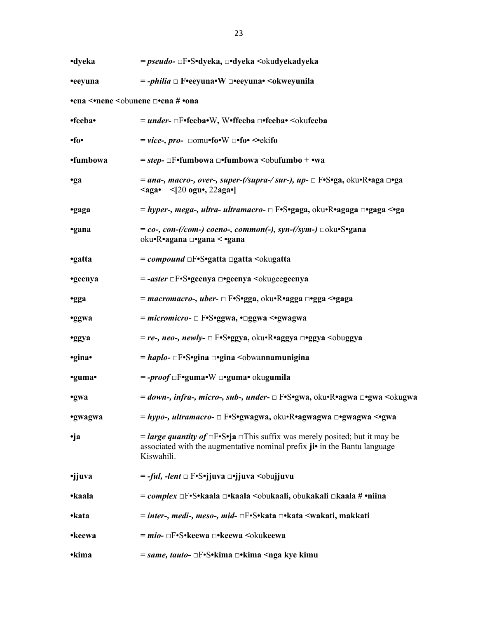| ·dyeka                                                  | = pseudo- □F•S•dyeka, □•dyeka <okudyekadyeka< th=""></okudyekadyeka<>                                                                                                                    |  |  |
|---------------------------------------------------------|------------------------------------------------------------------------------------------------------------------------------------------------------------------------------------------|--|--|
| •eeyuna                                                 | = <i>-philia</i> □ F•eeyuna•W □•eeyuna• <okweyunila< td=""></okweyunila<>                                                                                                                |  |  |
| •ena <•nene <obunene <math="">\Box•ena # •ona</obunene> |                                                                                                                                                                                          |  |  |
| •feeba•                                                 | = under- □F•feeba•W, W•ffeeba □•feeba• <okufeeba< td=""></okufeeba<>                                                                                                                     |  |  |
| • fo •                                                  | $= \text{vice}$ , pro- $\Box$ omu•fo•W $\Box$ •fo• <•ekifo                                                                                                                               |  |  |
| •fumbowa                                                | $= step$ - $\Box$ F•fumbowa $\Box$ •fumbowa $\Diamond$ obufumbo + •wa                                                                                                                    |  |  |
| •ga                                                     | = ana-, macro-, over-, super-(/supra-/ sur-), up- $\Box$ F•S•ga, oku•R•aga $\Box$ •ga<br>$\langle$ aga• $\langle$ [20 ogu•, 22aga•]                                                      |  |  |
| ·gaga                                                   | = hyper-, mega-, ultra- ultramacro- □ F•S•gaga, oku•R•agaga □•gaga <•ga                                                                                                                  |  |  |
| ·gana                                                   | $= co$ -, con-(/com-) coeno-, common(-), syn-(/sym-) $\Box$ oku•S•gana<br>oku•R•agana □•gana < •gana                                                                                     |  |  |
| •gatta                                                  | = <i>compound</i> $\Box F\bullet S\bullet g$ atta $\Box g$ atta $\Diamond g$ kugatta                                                                                                     |  |  |
| •geenya                                                 | = -aster □F•S•geenya □•geenya <okugeegeenya< td=""></okugeegeenya<>                                                                                                                      |  |  |
| <b>•gga</b>                                             | = macromacro-, uber- □ F•S•gga, oku•R•agga □•gga <•gaga                                                                                                                                  |  |  |
| <b>•ggwa</b>                                            | = micromicro- $\Box$ F•S•ggwa, • $\Box$ ggwa <•gwagwa                                                                                                                                    |  |  |
| •ggya                                                   | $= re$ -, neo-, newly- $\Box$ F•S•ggya, oku•R•aggya $\Box$ •ggya $\leq$ obuggya                                                                                                          |  |  |
| •gina•                                                  | = haplo- $\Box$ F•S•gina $\Box$ •gina < obwannamunigina                                                                                                                                  |  |  |
| •guma•                                                  | = -proof □F•guma•W □•guma• okugumila                                                                                                                                                     |  |  |
| ·gwa                                                    | = down-, infra-, micro-, sub-, under- $\Box$ F•S•gwa, oku•R•agwa $\Box$ •gwa $\leq$ okugwa                                                                                               |  |  |
| •gwagwa                                                 | = hypo-, ultramacro- □ F•S•gwagwa, oku•R•agwagwa □•gwagwa <•gwa                                                                                                                          |  |  |
| •ja                                                     | <i>= large quantity of</i> $\Box$ F•S•ja $\Box$ This suffix was merely posited; but it may be<br>associated with the augmentative nominal prefix ji• in the Bantu language<br>Kiswahili. |  |  |
| •jjuva                                                  | = - <i>ful, -lent</i> □ F•S•jjuva □•jjuva <obujjuvu< td=""></obujjuvu<>                                                                                                                  |  |  |
| •kaala                                                  | = complex □F•S•kaala □•kaala <obukaali, #="" obukakali="" td="" •niina<="" □kaala=""></obukaali,>                                                                                        |  |  |
| •kata                                                   | = inter-, medi-, meso-, mid- □F•S•kata □•kata <wakati, makkati<="" td=""></wakati,>                                                                                                      |  |  |
| •keewa                                                  | = mio- □F•S•keewa □•keewa <okukeewa< td=""></okukeewa<>                                                                                                                                  |  |  |
| •kima                                                   | = same, tauto- □F•S•kima □•kima <nga kimu<="" kye="" td=""></nga>                                                                                                                        |  |  |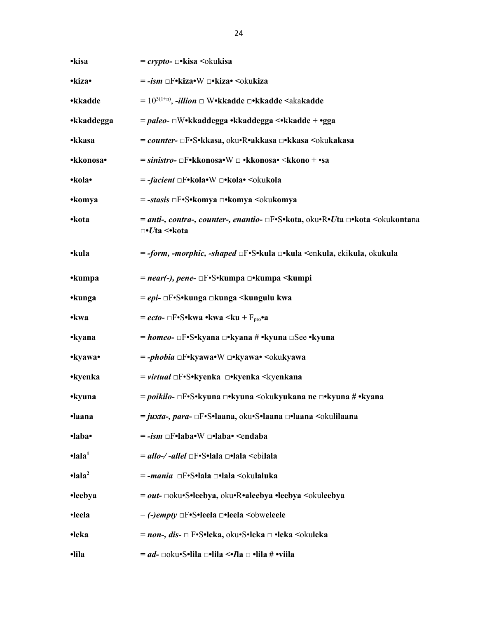| •kisa                       | $=$ crypto- $\Box$ •kisa $\Diamond$ okukisa                                                                                            |  |  |
|-----------------------------|----------------------------------------------------------------------------------------------------------------------------------------|--|--|
| •kiza•                      | = -ism □F•kiza•W □•kiza• <okukiza< th=""></okukiza<>                                                                                   |  |  |
| <b>•kkadde</b>              | $= 10^{3(1+n)}$ , <i>-illion</i> $\Box$ W•kkadde $\Box$ •kkadde <akakadde< th=""></akakadde<>                                          |  |  |
| •kkaddegga                  | = paleo- □W•kkaddegga •kkaddegga <•kkadde + •gga                                                                                       |  |  |
| •kkasa                      | = counter- □F•S•kkasa, oku•R•akkasa □•kkasa <okukakasa< th=""></okukakasa<>                                                            |  |  |
| •kkonosa•                   | = sinistro- □F•kkonosa•W □ •kkonosa• <kkono +="" th="" •sa<=""></kkono>                                                                |  |  |
| •kola•                      | = - <i>facient</i> □F•kola•W □•kola• <okukola< th=""></okukola<>                                                                       |  |  |
| •komya                      | = -stasis □F•S•komya □•komya <okukomya< th=""></okukomya<>                                                                             |  |  |
| •kota                       | = anti-, contra-, counter-, enantio- □F•S•kota, oku•R•Uta □•kota <okukontana<br><math>\neg</math>•<i>U</i>ta &lt;•kota</okukontana<br> |  |  |
| •kula                       | = -form, -morphic, -shaped □F•S•kula □•kula <enkula, ekikula,="" okukula<="" th=""></enkula,>                                          |  |  |
| •kumpa                      | = near(-), pene- □F•S•kumpa □•kumpa <kumpi< th=""></kumpi<>                                                                            |  |  |
| •kunga                      | = epi- □F•S•kunga □kunga <kungulu kwa<="" th=""></kungulu>                                                                             |  |  |
| •kwa                        | $=ecto$ - $\Box$ F•S•kwa •kwa <ku +="" f<sub="">pro•a</ku>                                                                             |  |  |
| •kyana                      | = homeo- $\Box$ F•S•kyana $\Box$ •kyana # •kyuna $\Box$ See •kyuna                                                                     |  |  |
| •kyawa•                     | $=$ -phobia $\Box$ F•kyawa•W $\Box$ •kyawa• <okukyawa< th=""></okukyawa<>                                                              |  |  |
| •kyenka                     | = <i>virtual</i> $\Box F \cdot S \cdot kyenka$ $\Box \cdot kyenka$ $\leq kyenkana$                                                     |  |  |
| •kyuna                      | = poikilo- $\Box$ F•S•kyuna $\Box$ •kyuna <okukyukana <math="" ne="">\Box•kyuna # •kyana</okukyukana>                                  |  |  |
| ·laana                      | = juxta-, para- □F•S•laana, oku•S•laana □•laana <okulilaana< th=""></okulilaana<>                                                      |  |  |
| ·laba·                      | $= -ism \Box F \cdot laba \cdot W \Box \cdot laba \cdot \langle endaba \rangle$                                                        |  |  |
| $\bullet$ lala <sup>1</sup> | = allo-/-allel □F•S•lala □•lala <ebilala< th=""></ebilala<>                                                                            |  |  |
| $\text{-}lala^2$            | $=$ -mania $\square$ F•S•lala $\square$ •lala $\triangleleft$ okulaluka                                                                |  |  |
| •leebya                     | = out- □oku•S•leebya, oku•R•aleebya •leebya <okuleebya< th=""></okuleebya<>                                                            |  |  |
| ·leela                      | $= (-)$ <i>empty</i> $\Box$ F•S•leela $\Box$ •leela $\leq$ obweleele                                                                   |  |  |
| •leka                       | = non-, dis- □ F•S•leka, oku•S•leka □ •leka <okuleka< th=""></okuleka<>                                                                |  |  |
| ·lila                       | = ad- □oku•S•lila □•lila <• <i>I</i> la □ •lila # •viila                                                                               |  |  |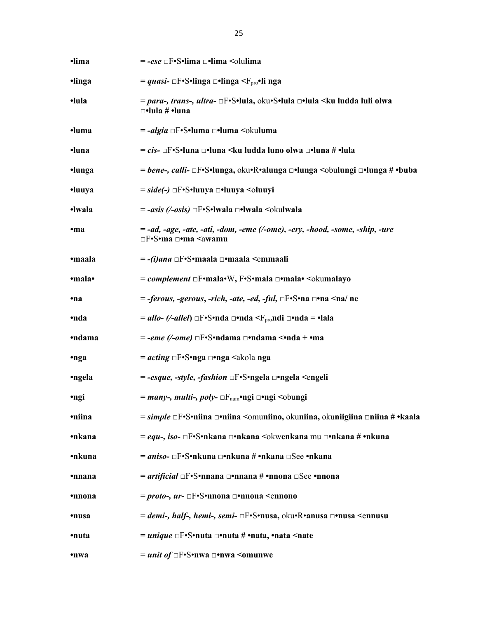| ·lima  | = -ese □F•S•lima □•lima <olulima< th=""></olulima<>                                                                      |
|--------|--------------------------------------------------------------------------------------------------------------------------|
| ·linga | = quasi- $\Box$ F•S•linga $\Box$ •linga $\langle F_{\text{pro}}$ •li nga                                                 |
| •lula  | = para-, trans-, ultra- □F•S•lula, oku•S•lula □•lula <ku ludda="" luli="" olwa<br=""><math>\Box</math>•lula # •luna</ku> |
| ·luma  | = -algia □F•S•luma □•luma <okuluma< th=""></okuluma<>                                                                    |
| ·luna  | = cis- □F•S•luna □•luna <ku #="" ludda="" luno="" olwa="" th="" •lula<="" □•luna=""></ku>                                |
| ·lunga | = bene-, calli- □F•S•lunga, oku•R•alunga □•lunga <obulungi #="" th="" •buba<="" □•lunga=""></obulungi>                   |
| ·luuya | = side(-) □F•S•luuya □•luuya <oluuyi< th=""></oluuyi<>                                                                   |
| ·lwala | = -asis (⁄-osis) □F•S•lwala □•lwala <okulwala< th=""></okulwala<>                                                        |
| •ma    | = -ad, -age, -ate, -ati, -dom, -eme (/-ome), -ery, -hood, -some, -ship, -ure<br>□F•S•ma □•ma <awamu< th=""></awamu<>     |
| ·maala | = - <i>(i)ana</i> □F•S•maala □•maala <emmaali< th=""></emmaali<>                                                         |
| •mala• | = complement □F•mala•W, F•S•mala □•mala• <okumalayo< th=""></okumalayo<>                                                 |
| •na    | $=$ -ferous, -gerous, -rich, -ate, -ed, -ful, $\Box F\bullet S\bullet n$ a $\Box \bullet n$ a $\Diamond n$ ne            |
| •nda   | = allo- (/-allel) $\Box$ F•S•nda $\Box$ •nda $\leq$ F <sub>pro</sub> ndi $\Box$ •nda = •lala                             |
| •ndama | $=$ -eme (/-ome) $\Box$ F•S•ndama $\Box$ •ndama <•nda + •ma                                                              |
| •nga   | = acting □F•S•nga □•nga <akola nga<="" th=""></akola>                                                                    |
| •ngela | = -esque, -style, -fashion □F•S•ngela □•ngela <engeli< th=""></engeli<>                                                  |
| •ngi   | = many-, multi-, poly- □F <sub>num</sub> •ngi □•ngi <obungi< th=""></obungi<>                                            |
| •niina | = simple □F•S•niina □•niina <omuniino, #="" okuniigiina="" okuniina,="" th="" •kaala<="" □niina=""></omuniino,>          |
| •nkana | = equ-, iso- □F•S•nkana □•nkana <okwenkana #="" mu="" th="" •nkuna<="" □•nkana=""></okwenkana>                           |
| •nkuna | = aniso- □F•S•nkuna □•nkuna # •nkana □See •nkana                                                                         |
| •nnana | = artificial $\Box F\cdot S\cdot n$ nana $\Box$ •nnana # •nnona $\Box See$ •nnona                                        |
| •nnona | = proto-, ur- $\Box$ F• S•nnona $\Box$ •nnona <ennono< th=""></ennono<>                                                  |
| •nusa  | = demi-, half-, hemi-, semi- □F•S•nusa, oku•R•anusa □•nusa <ennusu< th=""></ennusu<>                                     |
| •nuta  | = <i>unique</i> $\Box$ F•S•nuta $\Box$ •nuta # •nata, •nata <nate< th=""></nate<>                                        |
| •nwa   | = <i>unit of</i> $\Box$ F• S• nwa $\Box$ • nwa < omunwe                                                                  |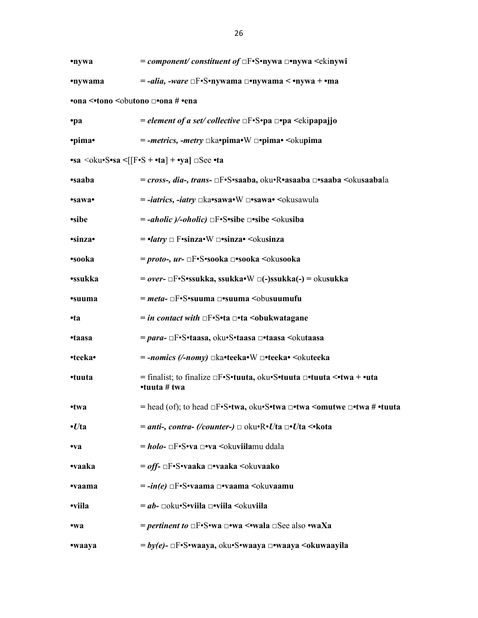| •nywa                                                        | $= component/ constituent of \Box F\cdot S\cdot n$ ywa $\Box\cdot n$ ywa $\leq$ kinywi                                                                            |  |  |
|--------------------------------------------------------------|-------------------------------------------------------------------------------------------------------------------------------------------------------------------|--|--|
| •nywama                                                      | $=$ -alia, -ware $\Box$ F•S•nywama $\Box$ •nywama < •nywa + •ma                                                                                                   |  |  |
| •ona <•tono <obutono #="" th="" •ena<="" □•ona=""></obutono> |                                                                                                                                                                   |  |  |
| ·pa                                                          | = element of a set/collective $\Box F \cdot S \cdot p a \Box p a \leq \Box p a p a$                                                                               |  |  |
| •pima•                                                       | $=$ -metrics, -metry $\Box$ ka•pima• W $\Box$ •pima• $\Diamond$ kupima                                                                                            |  |  |
|                                                              | $\bullet$ sa <oku<math>\bulletS<math>\bullet</math>sa &lt;<math>[[F\bullet S + \bullet ta] + \bullet ya] \Box</math>See <math>\bullet</math>ta</oku<math>         |  |  |
| <i><b>•saaba</b></i>                                         | = cross-, dia-, trans- □F•S•saaba, oku•R•asaaba □•saaba <okusaabala< th=""></okusaabala<>                                                                         |  |  |
| •sawa•                                                       | $=$ -iatrics, -iatry $\Box$ ka•sawa•W $\Box$ •sawa• $\Diamond$ okusawula                                                                                          |  |  |
| ·sibe                                                        | $=$ -aholic $)/\sim$ -oholic) $\Box$ F•S•sibe $\Box$ •sibe $\leq$ okusiba                                                                                         |  |  |
| ·sinza·                                                      | $=$ • <i>latry</i> $\Box$ F•sinza• W $\Box$ •sinza• < okusinza                                                                                                    |  |  |
| •sooka                                                       | = proto-, ur- $\Box$ F•S•sooka $\Box$ •sooka <okusooka< th=""></okusooka<>                                                                                        |  |  |
| •ssukka                                                      | $= over$ - $\Box F$ •S•ssukka, ssukka•W $\Box$ (-)ssukka(-) = okusukka                                                                                            |  |  |
| <i>suuma</i>                                                 | $=$ <i>meta</i> - $\Box$ F•S•suuma $\Box$ •suuma $\Diamond$ obusuumufu                                                                                            |  |  |
| $\cdot$ ta                                                   | = in contact with $\Box F\cdot S\cdot ta \Box \cdot ta$ < obukwatagane                                                                                            |  |  |
| •taasa                                                       | = para- □F•S•taasa, oku•S•taasa □•taasa <okutaasa< th=""></okutaasa<>                                                                                             |  |  |
| •teeka•                                                      | = -nomics (/-nomy) □ka•teeka•W □•teeka• <okuteeka< th=""></okuteeka<>                                                                                             |  |  |
| •tuuta                                                       | = finalist; to finalize $\Box F \cdot S \cdot t$ uuta, oku $\cdot S \cdot t$ uuta $\Box \cdot t$ uuta $\langle \cdot t w a + \cdot u t a \rangle$<br>•tuuta # twa |  |  |
| •twa                                                         | = head (of); to head $\Box F\cdot S\cdot twa$ , oku $\cdot S\cdot twa \Box\cdot twa$ < omutwe $\Box\cdot twa \neq \cdot t$ uuta                                   |  |  |
| $\cdot U$ ta                                                 | = anti-, contra- (/counter-) $\Box$ oku•R•Uta $\Box$ •Uta <•kota                                                                                                  |  |  |
| $\mathbf{v}$                                                 | = holo- □F•S•va □•va <okuviilamu ddala<="" th=""></okuviilamu>                                                                                                    |  |  |
| •vaaka                                                       | = off- □F•S•vaaka □•vaaka <okuvaako< th=""></okuvaako<>                                                                                                           |  |  |
| •vaama                                                       | $= -in(e)$ $\Box$ F•S•vaama $\Box$ •vaama $\Diamond$ okuvaamu                                                                                                     |  |  |
| •viila                                                       | $=$ ab- $\Box$ oku•S•viila $\Box$ •viila $\triangleleft$ okuviila                                                                                                 |  |  |
| •wa                                                          | = pertinent to $\Box$ F•S•wa $\Box$ •wa <•wala $\Box$ See also •waXa                                                                                              |  |  |
| •waaya                                                       | $=by(e)$ - $\Box$ F•S•waaya, oku•S•waaya $\Box$ •waaya <okuwaayila< th=""></okuwaayila<>                                                                          |  |  |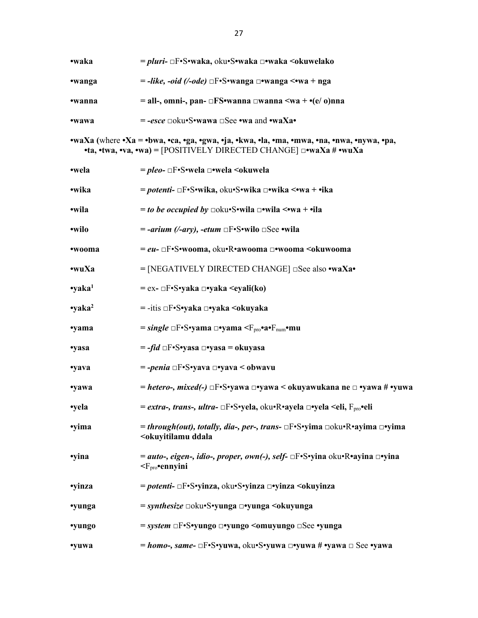| •waka                                                                                                                                                                  | = pluri- □F•S•waka, oku•S•waka □•waka <okuwelako< th=""></okuwelako<>                                                                                                            |  |  |
|------------------------------------------------------------------------------------------------------------------------------------------------------------------------|----------------------------------------------------------------------------------------------------------------------------------------------------------------------------------|--|--|
| •wanga                                                                                                                                                                 | $=$ -like, -oid (/-ode) $\Box$ F•S•wanga $\Box$ •wanga $\Diamond$ •wa + nga                                                                                                      |  |  |
| •wanna                                                                                                                                                                 | = all-, omni-, pan- $\Box$ FS•wanna $\Box$ wanna $\langle$ wa + •(e/ o)nna                                                                                                       |  |  |
| •wawa                                                                                                                                                                  | $= -\text{esce}$ $\Box$ oku•S•wawa $\Box$ See •wa and •waXa•                                                                                                                     |  |  |
| •waXa (where •Xa = •bwa, •ca, •ga, •gwa, •ja, •kwa, •la, •ma, •mwa, •na, •nwa, •nywa, •pa,<br>•ta, •twa, •va, •wa) = [POSITIVELY DIRECTED CHANGE] $\Box$ •waXa # •wuXa |                                                                                                                                                                                  |  |  |
| •wela                                                                                                                                                                  | = pleo- □F•S•wela □•wela <okuwela< td=""></okuwela<>                                                                                                                             |  |  |
| •wika                                                                                                                                                                  | = potenti- □F•S•wika, oku•S•wika □•wika <•wa + •ika                                                                                                                              |  |  |
| •wila                                                                                                                                                                  | <i>= to be occupied by</i> $\Box$ oku•S•wila $\Box$ •wila <•wa + •ila                                                                                                            |  |  |
| •wilo                                                                                                                                                                  | $= -airium$ (/-ary), -etum $\Box F \cdot S \cdot$ wilo $\Box See \cdot$ wila                                                                                                     |  |  |
| •wooma                                                                                                                                                                 | $=eu$ - $\Box$ F•S•wooma, oku•R•awooma $\Box$ •wooma <okuwooma< td=""></okuwooma<>                                                                                               |  |  |
| $\cdot$ wuXa                                                                                                                                                           | $=$ [NEGATIVELY DIRECTED CHANGE] $\Box$ See also •waXa•                                                                                                                          |  |  |
| $\cdot$ yaka <sup>1</sup>                                                                                                                                              | $= ex$ - $\Box F \cdot S \cdot y$ aka $\Box \cdot y$ aka $\leq$ eyali(ko)                                                                                                        |  |  |
| $\gamma$ aka <sup>2</sup>                                                                                                                                              | =-itis □F•S•yaka □•yaka <okuyaka< td=""></okuyaka<>                                                                                                                              |  |  |
| ·yama                                                                                                                                                                  | $= single \Box F \cdot S \cdot y$ ama $\Box \bullet y$ ama $\langle F_{\text{pro}} \cdot a \cdot F_{\text{num}} \cdot mu \rangle$                                                |  |  |
| ·yasa                                                                                                                                                                  | $= -fid \Box F\cdot S\cdot y$ asa $\square \cdot y$ asa $=$ okuyasa                                                                                                              |  |  |
| ·yava                                                                                                                                                                  | $= -penia \Box F \cdot S \cdot yava \Box \cdot yava < obwavu$                                                                                                                    |  |  |
| ·yawa                                                                                                                                                                  | = hetero-, mixed(-) $\Box$ F•S•yawa $\Box$ •yawa < okuyawukana ne $\Box$ •yawa # •yuwa                                                                                           |  |  |
| •yela                                                                                                                                                                  | = extra-, trans-, ultra- □F•S•yela, oku•R•ayela □•yela <eli, f<sub="">pro•eli</eli,>                                                                                             |  |  |
| •yima                                                                                                                                                                  | = <i>through(out), totally, dia-, per-, trans-</i> $\Box F\cdot S\cdot y$ ima $\Box$ oku $\cdot R\cdot a$ yima $\Box \cdot y$ ima<br><okuyitilamu ddala<="" td=""></okuyitilamu> |  |  |
| ·yina                                                                                                                                                                  | = auto-, eigen-, idio-, proper, own(-), self- □F•S•yina oku•R•ayina □•yina<br>$\leq$ F <sub>pro</sub> •ennyini                                                                   |  |  |
| ·yinza                                                                                                                                                                 | = potenti- □F•S•yinza, oku•S•yinza □•yinza <okuyinza< td=""></okuyinza<>                                                                                                         |  |  |
| ·yunga                                                                                                                                                                 | = <i>synthesize</i> □oku•S•yunga □•yunga <okuyunga< td=""></okuyunga<>                                                                                                           |  |  |
| ·yungo                                                                                                                                                                 | = system □F•S•yungo □•yungo <omuyungo td="" •yunga<="" □see=""></omuyungo>                                                                                                       |  |  |
| ·yuwa                                                                                                                                                                  | = homo-, same- $\Box$ F•S•yuwa, oku•S•yuwa $\Box$ •yuwa # •yawa $\Box$ See •yawa                                                                                                 |  |  |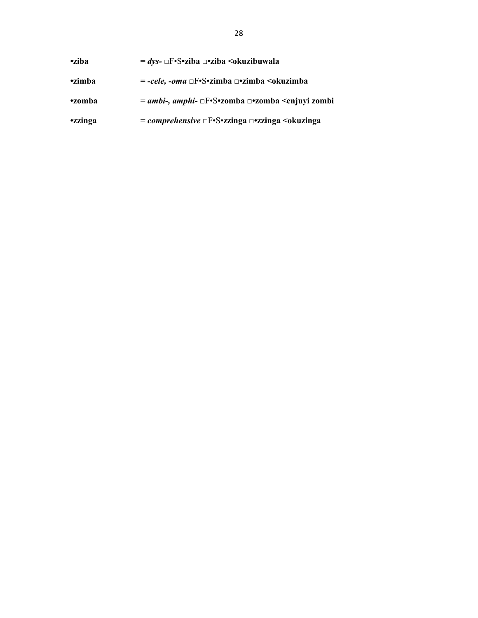| <b>•ziba</b>   | $=$ dys- $\Box$ F•S•ziba $\Box$ •ziba $\triangleleft$ okuzibuwala                   |  |
|----------------|-------------------------------------------------------------------------------------|--|
| <b>•zimba</b>  | $= -cele$ , -oma $\Box F \cdot S \cdot zimba$ $\Box \cdot zimba$ $\Diamond kuzimba$ |  |
| •zomba         | = ambi-, amphi- □F•S•zomba □•zomba <enjuyi td="" zombi<=""></enjuyi>                |  |
| <b>ezzinga</b> | = comprehensive $\Box F\cdot S\cdot zzinga \Box \neg zzinga$ < okuzinga             |  |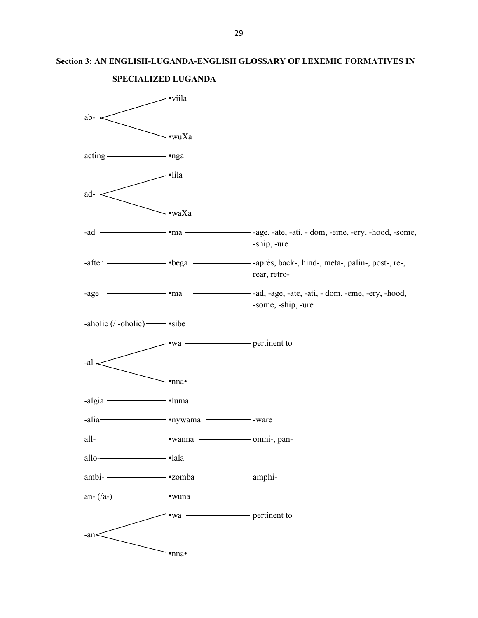# **Section 3: AN ENGLISH-LUGANDA-ENGLISH GLOSSARY OF LEXEMIC FORMATIVES IN**



#### **SPECIALIZED LUGANDA**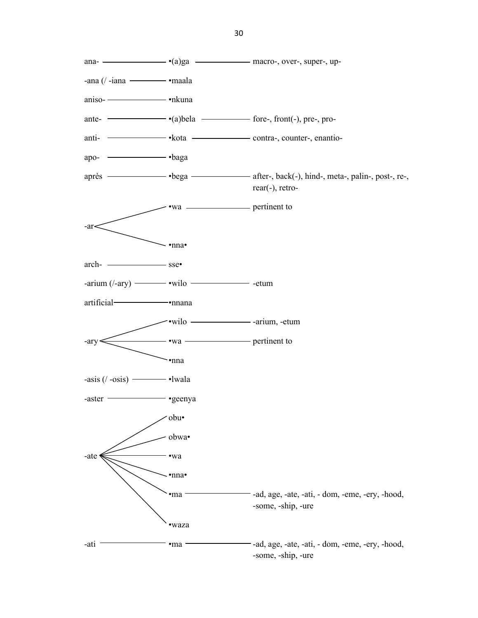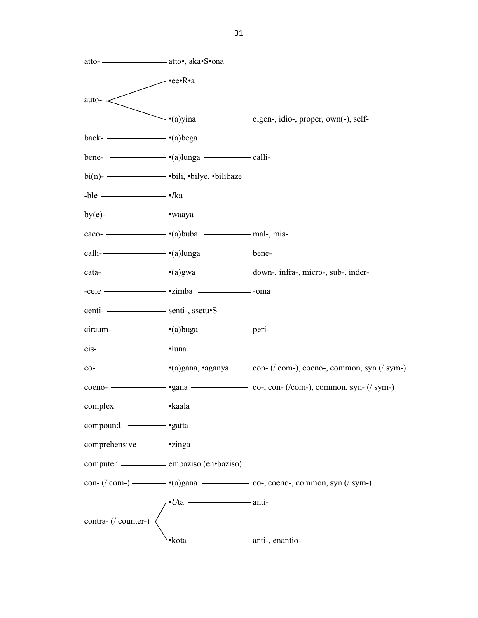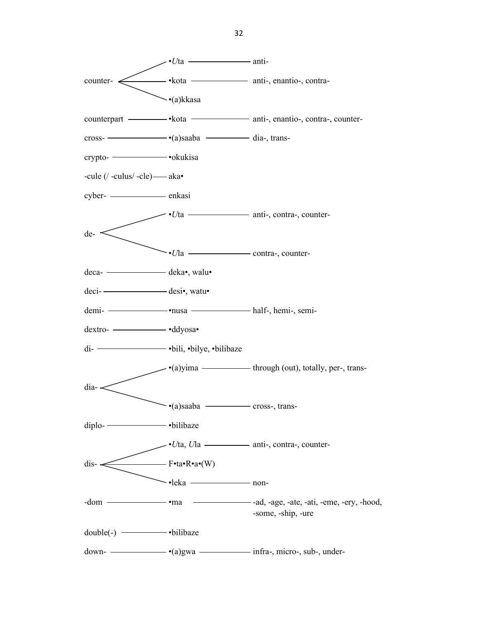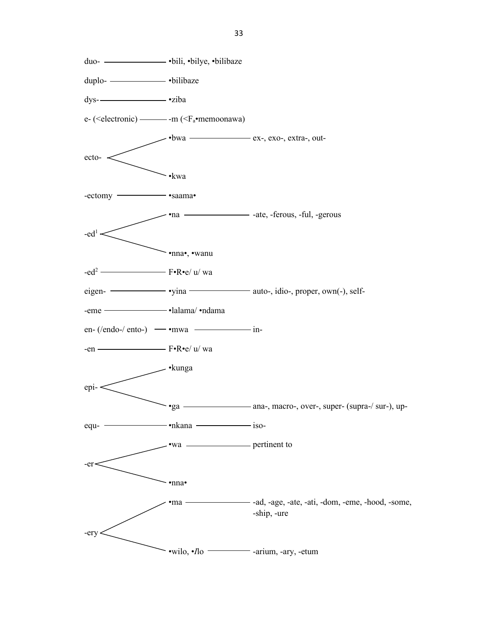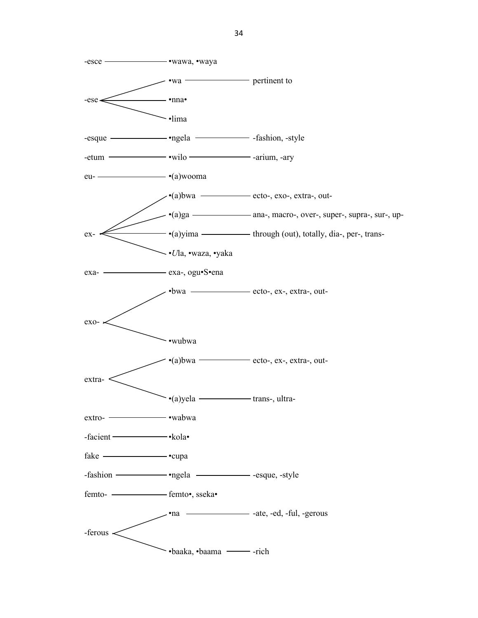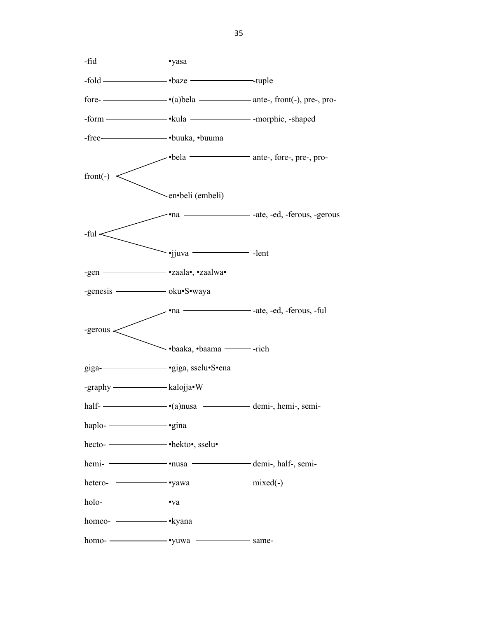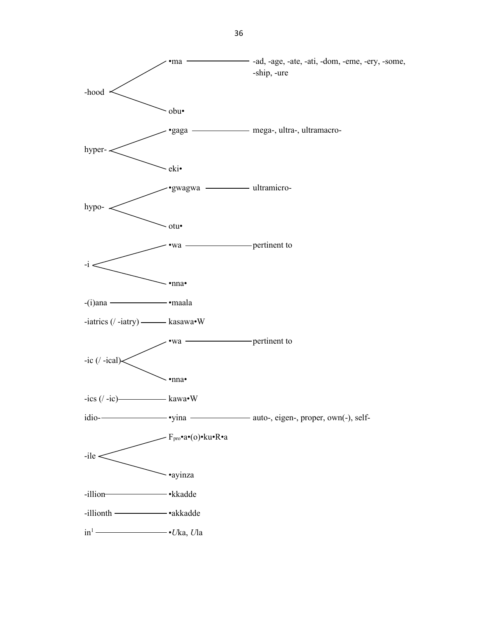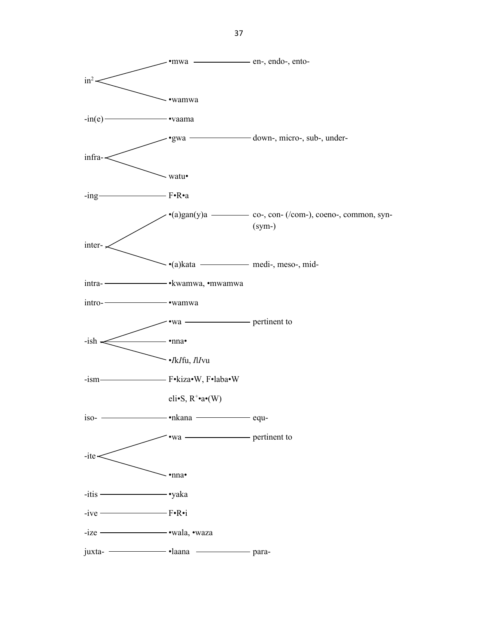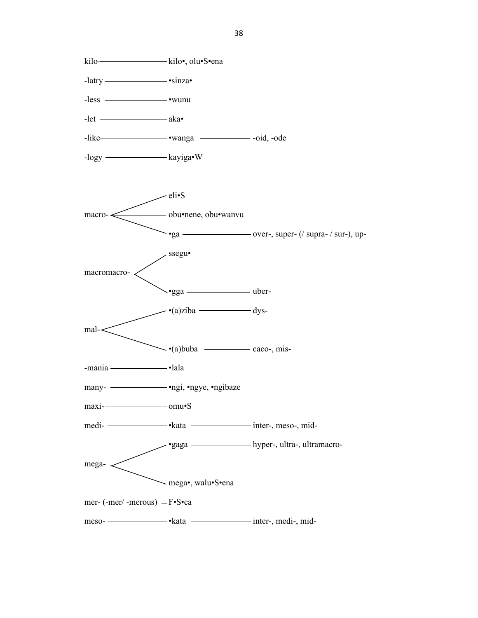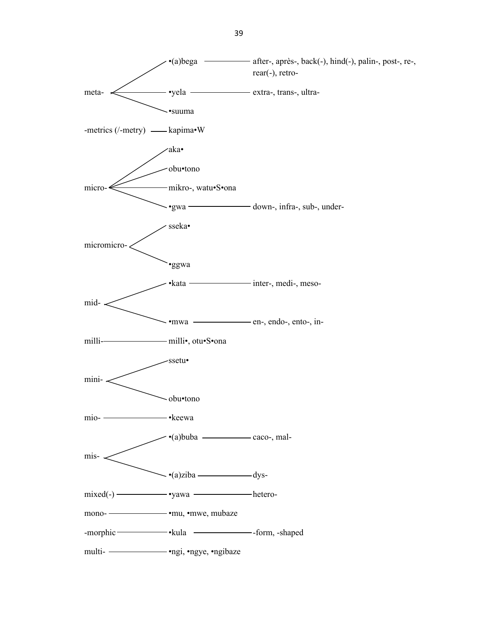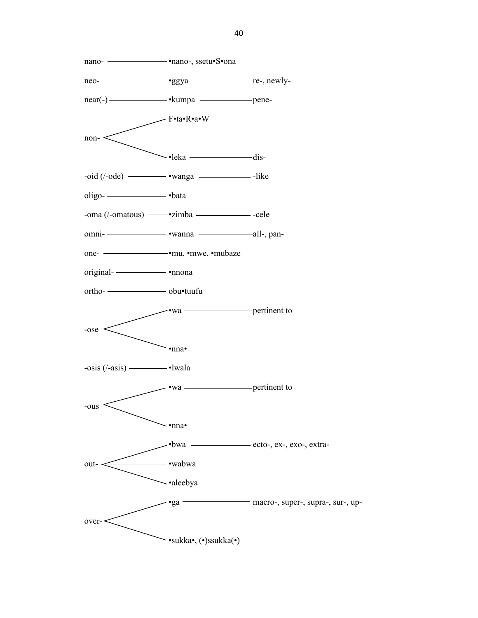nano- •nano-, ssetu•S•ona neo- •ggya re-, newlynear(-) • kumpa • kumpa bene-F•ta•R•a•W non-  $\sim$ •leka  $\sim$  $-oid (/-ode)$   $\bullet$   $wanga$   $-like$  $oligo$ - $-lota$ -oma (/-omatous) - vzimba - cele omni- •wanna all-, panone- •mu, •mwe, •mubaze original- •nnona ortho- obu•tuufu •wa pertinent to -ose •nna•  $-$ osis ( $\ell$ -asis)  $\longrightarrow$ lwala •wa pertinent to -ous •nna• •bwa ecto-, ex-, exo-, extraout- •wabwa •aleebya •ga macro-, super-, supra-, sur-, upover- •sukka•, (•)ssukka(•)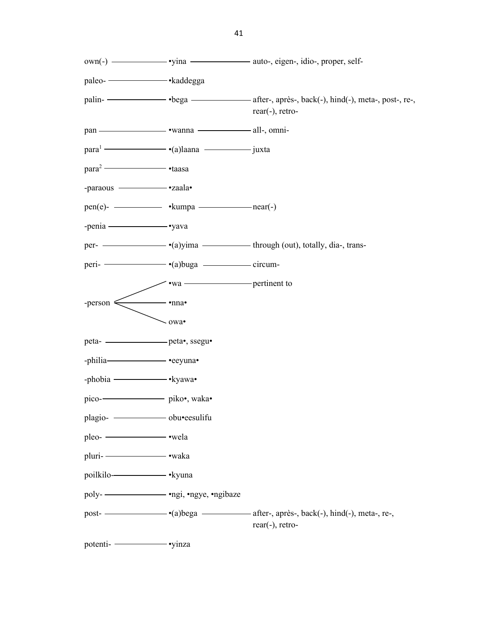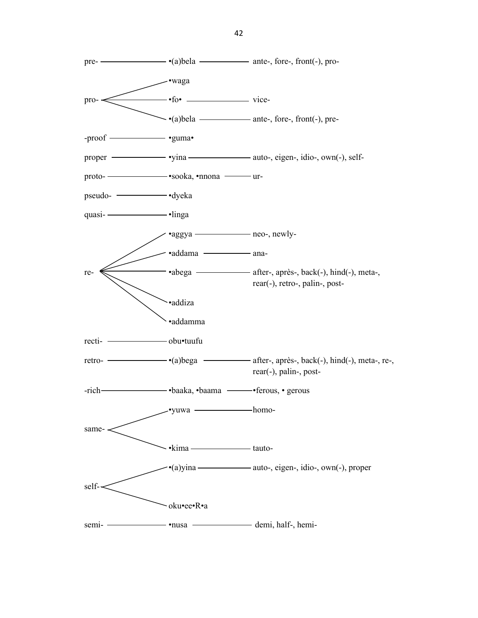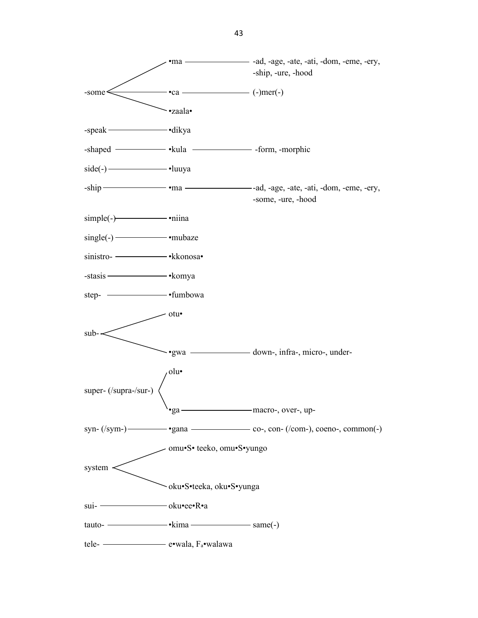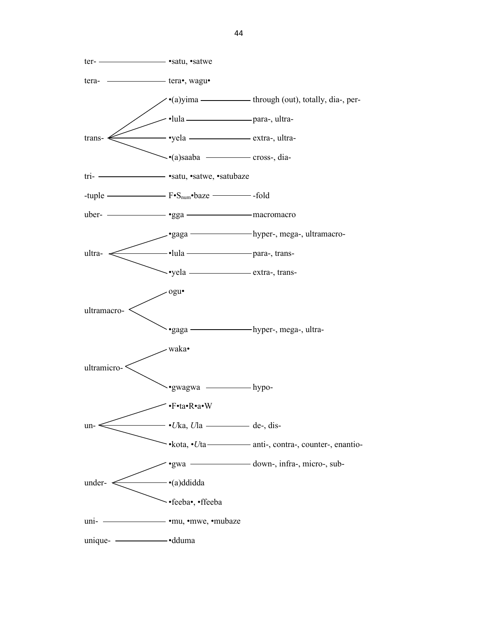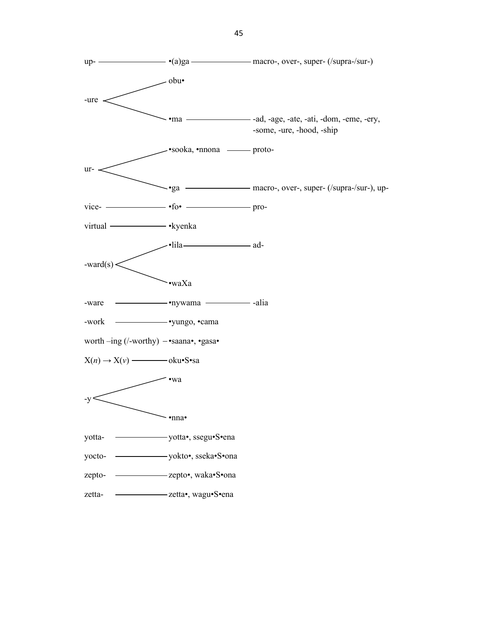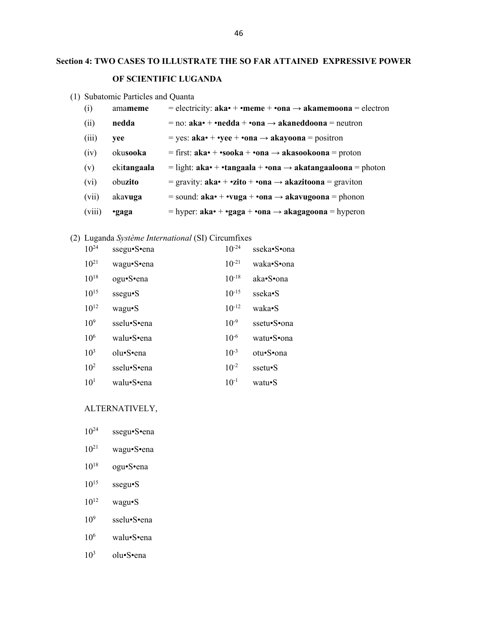# **Section 4: TWO CASES TO ILLUSTRATE THE SO FAR ATTAINED EXPRESSIVE POWER OF SCIENTIFIC LUGANDA**

(1) Subatomic Particles and Quanta

| (i)    | amameme     | = electricity: $aka \cdot + \cdot \text{meme} + \cdot \text{on} a \rightarrow akamemo \text{on} a = \text{electron}$ |
|--------|-------------|----------------------------------------------------------------------------------------------------------------------|
| (ii)   | nedda       | $=$ no: aka• + •nedda + •ona $\rightarrow$ akaneddoona = neutron                                                     |
| (iii)  | vee         | = yes: $aka \cdot + \cdot yee + \cdot \text{on}a \rightarrow akayoona = \text{position}$                             |
| (iv)   | okusooka    | = first: aka• + •sooka + •ona $\rightarrow$ akasookoona = proton                                                     |
| (v)    | ekitangaala | = light: aka• + •tangaala + •ona $\rightarrow$ akatangaaloona = photon                                               |
| (vi)   | obuzito     | = gravity: $aka \cdot + \cdot zito + \cdot \text{on} a \rightarrow akazito \text{on} a = graviton$                   |
| (vii)  | akavuga     | = sound: $aka^*$ + •vuga + •ona $\rightarrow$ akavugoona = phonon                                                    |
| (viii) | ·gaga       | = hyper: $aka \cdot + \cdot gaga + \cdot ona \rightarrow akagagoona = hyperon$                                       |
|        |             |                                                                                                                      |

# (2) Luganda *Système International* (SI) Circumfixes

| $10^{24}$       | ssegu•S•ena | $10^{-24}$ | sseka•S•ona |
|-----------------|-------------|------------|-------------|
| $10^{21}$       | wagu•S•ena  | $10^{-21}$ | waka•S•ona  |
| $10^{18}$       | ogu•S•ena   | $10^{-18}$ | aka•S•ona   |
| $10^{15}$       | ssegu•S     | $10^{-15}$ | sseka•S     |
| $10^{12}$       | wagu•S      | $10^{-12}$ | waka•S      |
| 10 <sup>9</sup> | sselu•S•ena | $10^{-9}$  | ssetu•S•ona |
| 10 <sup>6</sup> | walu•S•ena  | $10^{-6}$  | watu•S•ona  |
| $10^{3}$        | olu•S•ena   | $10^{-3}$  | otu•S•ona   |
| $10^{2}$        | sselu•S•ena | $10^{-2}$  | ssetu•S     |
| 10 <sup>1</sup> | walu•S•ena  | $10^{-1}$  | watu•S      |

#### ALTERNATIVELY,

- 10<sup>24</sup> ssegu•S•ena
- 10<sup>21</sup> wagu•S•ena
- 10<sup>18</sup> ogu•S•ena
- $10^{15}$  ssegu•S
- $10^{12}$  wagu•S
- $10^{9}$ sselu•S•ena
- 10<sup>6</sup> walu•S•ena
- $10^3$  olu•S•ena